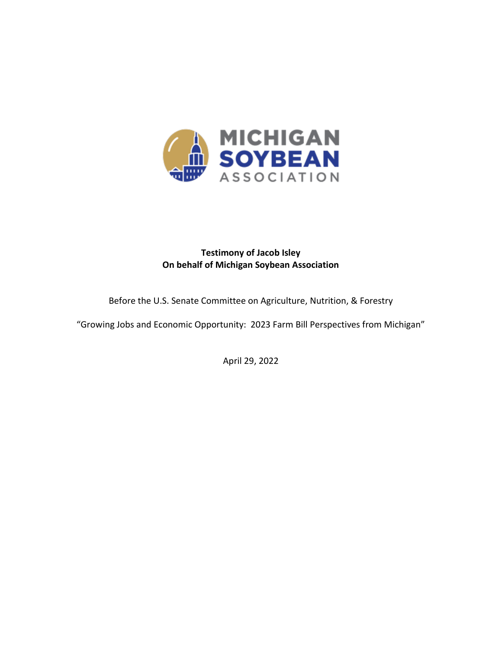

# **Testimony of Jacob Isley On behalf of Michigan Soybean Association**

Before the U.S. Senate Committee on Agriculture, Nutrition, & Forestry

"Growing Jobs and Economic Opportunity: 2023 Farm Bill Perspectives from Michigan"

April 29, 2022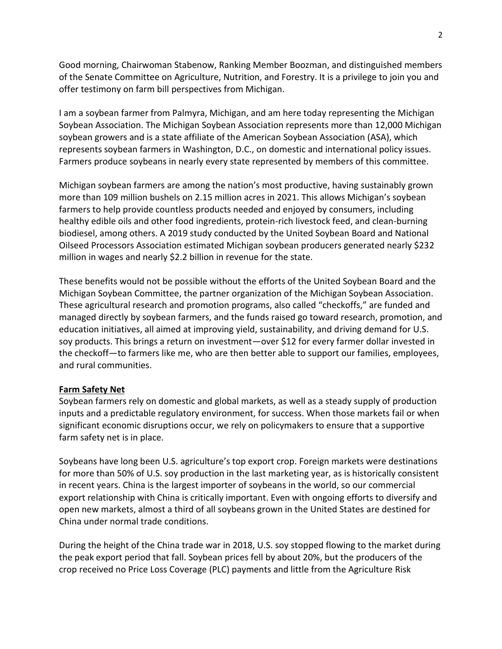Good morning, Chairwoman Stabenow, Ranking Member Boozman, and distinguished members of the Senate Committee on Agriculture, Nutrition, and Forestry. It is a privilege to join you and offer testimony on farm bill perspectives from Michigan.

I am a soybean farmer from Palmyra, Michigan, and am here today representing the Michigan Soybean Association. The Michigan Soybean Association represents more than 12,000 Michigan soybean growers and is a state affiliate of the American Soybean Association (ASA), which represents soybean farmers in Washington, D.C., on domestic and international policy issues. Farmers produce soybeans in nearly every state represented by members of this committee.

Michigan soybean farmers are among the nation's most productive, having sustainably grown more than 109 million bushels on 2.15 million acres in 2021. This allows Michigan's soybean farmers to help provide countless products needed and enjoyed by consumers, including healthy edible oils and other food ingredients, protein-rich livestock feed, and clean-burning biodiesel, among others. A 2019 study conducted by the United Soybean Board and National Oilseed Processors Association estimated Michigan soybean producers generated nearly \$232 million in wages and nearly \$2.2 billion in revenue for the state.

These benefits would not be possible without the efforts of the United Soybean Board and the Michigan Soybean Committee, the partner organization of the Michigan Soybean Association. These agricultural research and promotion programs, also called "checkoffs," are funded and managed directly by soybean farmers, and the funds raised go toward research, promotion, and education initiatives, all aimed at improving yield, sustainability, and driving demand for U.S. soy products. This brings a return on investment—over \$12 for every farmer dollar invested in the checkoff—to farmers like me, who are then better able to support our families, employees, and rural communities.

## **Farm Safety Net**

Soybean farmers rely on domestic and global markets, as well as a steady supply of production inputs and a predictable regulatory environment, for success. When those markets fail or when significant economic disruptions occur, we rely on policymakers to ensure that a supportive farm safety net is in place.

Soybeans have long been U.S. agriculture's top export crop. Foreign markets were destinations for more than 50% of U.S. soy production in the last marketing year, as is historically consistent in recent years. China is the largest importer of soybeans in the world, so our commercial export relationship with China is critically important. Even with ongoing efforts to diversify and open new markets, almost a third of all soybeans grown in the United States are destined for China under normal trade conditions.

During the height of the China trade war in 2018, U.S. soy stopped flowing to the market during the peak export period that fall. Soybean prices fell by about 20%, but the producers of the crop received no Price Loss Coverage (PLC) payments and little from the Agriculture Risk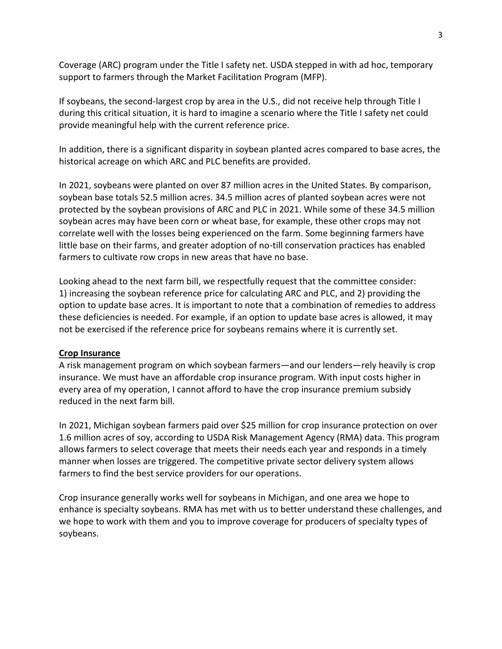Coverage (ARC) program under the Title I safety net. USDA stepped in with ad hoc, temporary support to farmers through the Market Facilitation Program (MFP).

If soybeans, the second-largest crop by area in the U.S., did not receive help through Title I during this critical situation, it is hard to imagine a scenario where the Title I safety net could provide meaningful help with the current reference price.

In addition, there is a significant disparity in soybean planted acres compared to base acres, the historical acreage on which ARC and PLC benefits are provided.

In 2021, soybeans were planted on over 87 million acres in the United States. By comparison, soybean base totals 52.5 million acres. 34.5 million acres of planted soybean acres were not protected by the soybean provisions of ARC and PLC in 2021. While some of these 34.5 million soybean acres may have been corn or wheat base, for example, these other crops may not correlate well with the losses being experienced on the farm. Some beginning farmers have little base on their farms, and greater adoption of no-till conservation practices has enabled farmers to cultivate row crops in new areas that have no base.

Looking ahead to the next farm bill, we respectfully request that the committee consider: 1) increasing the soybean reference price for calculating ARC and PLC, and 2) providing the option to update base acres. It is important to note that a combination of remedies to address these deficiencies is needed. For example, if an option to update base acres is allowed, it may not be exercised if the reference price for soybeans remains where it is currently set.

## **Crop Insurance**

A risk management program on which soybean farmers—and our lenders—rely heavily is crop insurance. We must have an affordable crop insurance program. With input costs higher in every area of my operation, I cannot afford to have the crop insurance premium subsidy reduced in the next farm bill.

In 2021, Michigan soybean farmers paid over \$25 million for crop insurance protection on over 1.6 million acres of soy, according to USDA Risk Management Agency (RMA) data. This program allows farmers to select coverage that meets their needs each year and responds in a timely manner when losses are triggered. The competitive private sector delivery system allows farmers to find the best service providers for our operations.

Crop insurance generally works well for soybeans in Michigan, and one area we hope to enhance is specialty soybeans. RMA has met with us to better understand these challenges, and we hope to work with them and you to improve coverage for producers of specialty types of soybeans.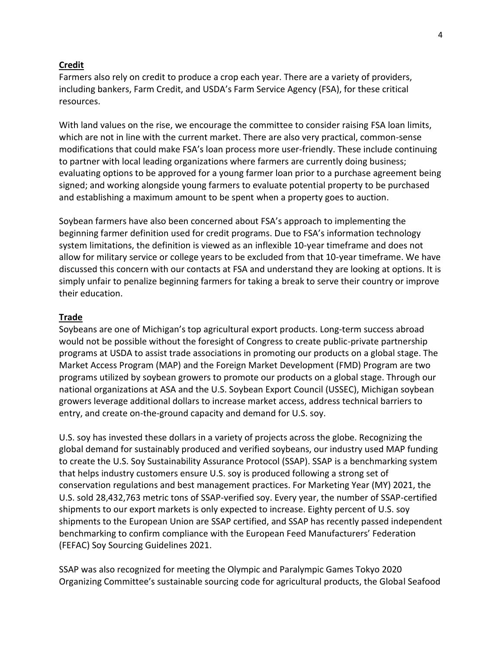#### **Credit**

Farmers also rely on credit to produce a crop each year. There are a variety of providers, including bankers, Farm Credit, and USDA's Farm Service Agency (FSA), for these critical resources.

With land values on the rise, we encourage the committee to consider raising FSA loan limits, which are not in line with the current market. There are also very practical, common-sense modifications that could make FSA's loan process more user-friendly. These include continuing to partner with local leading organizations where farmers are currently doing business; evaluating options to be approved for a young farmer loan prior to a purchase agreement being signed; and working alongside young farmers to evaluate potential property to be purchased and establishing a maximum amount to be spent when a property goes to auction.

Soybean farmers have also been concerned about FSA's approach to implementing the beginning farmer definition used for credit programs. Due to FSA's information technology system limitations, the definition is viewed as an inflexible 10-year timeframe and does not allow for military service or college years to be excluded from that 10-year timeframe. We have discussed this concern with our contacts at FSA and understand they are looking at options. It is simply unfair to penalize beginning farmers for taking a break to serve their country or improve their education.

#### **Trade**

Soybeans are one of Michigan's top agricultural export products. Long-term success abroad would not be possible without the foresight of Congress to create public-private partnership programs at USDA to assist trade associations in promoting our products on a global stage. The Market Access Program (MAP) and the Foreign Market Development (FMD) Program are two programs utilized by soybean growers to promote our products on a global stage. Through our national organizations at ASA and the U.S. Soybean Export Council (USSEC), Michigan soybean growers leverage additional dollars to increase market access, address technical barriers to entry, and create on-the-ground capacity and demand for U.S. soy.

U.S. soy has invested these dollars in a variety of projects across the globe. Recognizing the global demand for sustainably produced and verified soybeans, our industry used MAP funding to create the U.S. Soy Sustainability Assurance Protocol (SSAP). SSAP is a benchmarking system that helps industry customers ensure U.S. soy is produced following a strong set of conservation regulations and best management practices. For Marketing Year (MY) 2021, the U.S. sold 28,432,763 metric tons of SSAP-verified soy. Every year, the number of SSAP-certified shipments to our export markets is only expected to increase. Eighty percent of U.S. soy shipments to the European Union are SSAP certified, and SSAP has recently passed independent benchmarking to confirm compliance with the European Feed Manufacturers' Federation (FEFAC) Soy Sourcing Guidelines 2021.

SSAP was also recognized for meeting the Olympic and Paralympic Games Tokyo 2020 Organizing Committee's sustainable sourcing code for agricultural products, the Global Seafood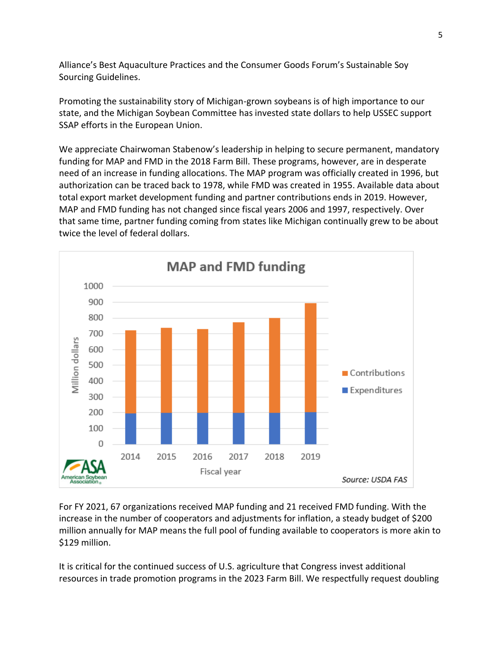Alliance's Best Aquaculture Practices and the Consumer Goods Forum's Sustainable Soy Sourcing Guidelines.

Promoting the sustainability story of Michigan-grown soybeans is of high importance to our state, and the Michigan Soybean Committee has invested state dollars to help USSEC support SSAP efforts in the European Union.

We appreciate Chairwoman Stabenow's leadership in helping to secure permanent, mandatory funding for MAP and FMD in the 2018 Farm Bill. These programs, however, are in desperate need of an increase in funding allocations. The MAP program was officially created in 1996, but authorization can be traced back to 1978, while FMD was created in 1955. Available data about total export market development funding and partner contributions ends in 2019. However, MAP and FMD funding has not changed since fiscal years 2006 and 1997, respectively. Over that same time, partner funding coming from states like Michigan continually grew to be about twice the level of federal dollars.



For FY 2021, 67 organizations received MAP funding and 21 received FMD funding. With the increase in the number of cooperators and adjustments for inflation, a steady budget of \$200 million annually for MAP means the full pool of funding available to cooperators is more akin to \$129 million.

It is critical for the continued success of U.S. agriculture that Congress invest additional resources in trade promotion programs in the 2023 Farm Bill. We respectfully request doubling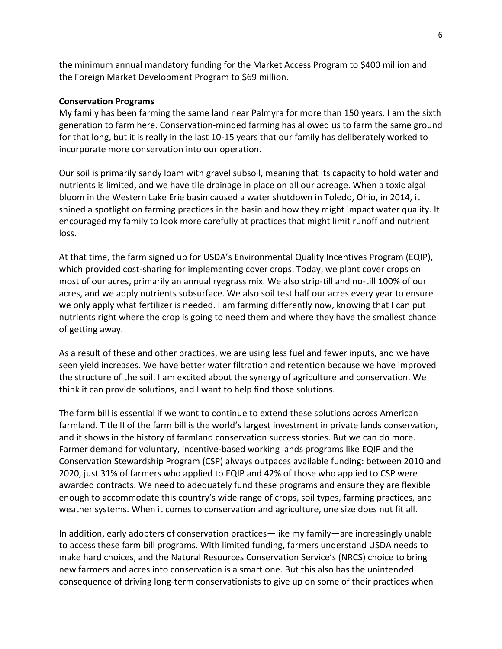the minimum annual mandatory funding for the Market Access Program to \$400 million and the Foreign Market Development Program to \$69 million.

#### **Conservation Programs**

My family has been farming the same land near Palmyra for more than 150 years. I am the sixth generation to farm here. Conservation-minded farming has allowed us to farm the same ground for that long, but it is really in the last 10-15 years that our family has deliberately worked to incorporate more conservation into our operation.

Our soil is primarily sandy loam with gravel subsoil, meaning that its capacity to hold water and nutrients is limited, and we have tile drainage in place on all our acreage. When a toxic algal bloom in the Western Lake Erie basin caused a water shutdown in Toledo, Ohio, in 2014, it shined a spotlight on farming practices in the basin and how they might impact water quality. It encouraged my family to look more carefully at practices that might limit runoff and nutrient loss.

At that time, the farm signed up for USDA's Environmental Quality Incentives Program (EQIP), which provided cost-sharing for implementing cover crops. Today, we plant cover crops on most of our acres, primarily an annual ryegrass mix. We also strip-till and no-till 100% of our acres, and we apply nutrients subsurface. We also soil test half our acres every year to ensure we only apply what fertilizer is needed. I am farming differently now, knowing that I can put nutrients right where the crop is going to need them and where they have the smallest chance of getting away.

As a result of these and other practices, we are using less fuel and fewer inputs, and we have seen yield increases. We have better water filtration and retention because we have improved the structure of the soil. I am excited about the synergy of agriculture and conservation. We think it can provide solutions, and I want to help find those solutions.

The farm bill is essential if we want to continue to extend these solutions across American farmland. Title II of the farm bill is the world's largest investment in private lands conservation, and it shows in the history of farmland conservation success stories. But we can do more. Farmer demand for voluntary, incentive-based working lands programs like EQIP and the Conservation Stewardship Program (CSP) always outpaces available funding: between 2010 and 2020, just 31% of farmers who applied to EQIP and 42% of those who applied to CSP were awarded contracts. We need to adequately fund these programs and ensure they are flexible enough to accommodate this country's wide range of crops, soil types, farming practices, and weather systems. When it comes to conservation and agriculture, one size does not fit all.

In addition, early adopters of conservation practices—like my family—are increasingly unable to access these farm bill programs. With limited funding, farmers understand USDA needs to make hard choices, and the Natural Resources Conservation Service's (NRCS) choice to bring new farmers and acres into conservation is a smart one. But this also has the unintended consequence of driving long-term conservationists to give up on some of their practices when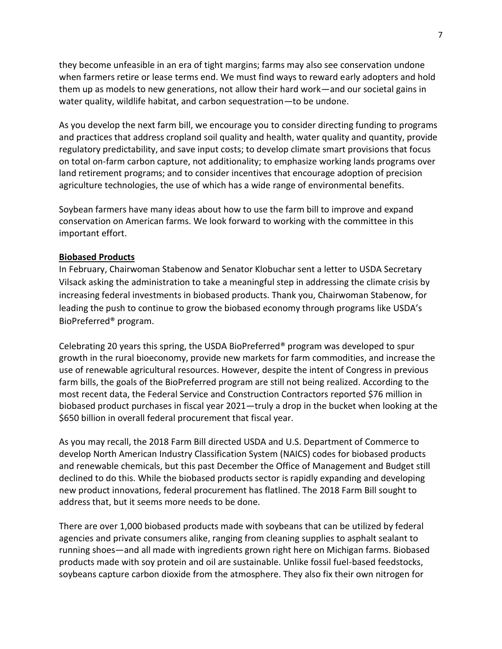they become unfeasible in an era of tight margins; farms may also see conservation undone when farmers retire or lease terms end. We must find ways to reward early adopters and hold them up as models to new generations, not allow their hard work—and our societal gains in water quality, wildlife habitat, and carbon sequestration—to be undone.

As you develop the next farm bill, we encourage you to consider directing funding to programs and practices that address cropland soil quality and health, water quality and quantity, provide regulatory predictability, and save input costs; to develop climate smart provisions that focus on total on-farm carbon capture, not additionality; to emphasize working lands programs over land retirement programs; and to consider incentives that encourage adoption of precision agriculture technologies, the use of which has a wide range of environmental benefits.

Soybean farmers have many ideas about how to use the farm bill to improve and expand conservation on American farms. We look forward to working with the committee in this important effort.

#### **Biobased Products**

In February, Chairwoman Stabenow and Senator Klobuchar sent a letter to USDA Secretary Vilsack asking the administration to take a meaningful step in addressing the climate crisis by increasing federal investments in biobased products. Thank you, Chairwoman Stabenow, for leading the push to continue to grow the biobased economy through programs like USDA's BioPreferred® program.

Celebrating 20 years this spring, the USDA BioPreferred® program was developed to spur growth in the rural bioeconomy, provide new markets for farm commodities, and increase the use of renewable agricultural resources. However, despite the intent of Congress in previous farm bills, the goals of the BioPreferred program are still not being realized. According to the most recent data, the Federal Service and Construction Contractors reported \$76 million in biobased product purchases in fiscal year 2021—truly a drop in the bucket when looking at the \$650 billion in overall federal procurement that fiscal year.

As you may recall, the 2018 Farm Bill directed USDA and U.S. Department of Commerce to develop North American Industry Classification System (NAICS) codes for biobased products and renewable chemicals, but this past December the Office of Management and Budget still declined to do this. While the biobased products sector is rapidly expanding and developing new product innovations, federal procurement has flatlined. The 2018 Farm Bill sought to address that, but it seems more needs to be done.

There are over 1,000 biobased products made with soybeans that can be utilized by federal agencies and private consumers alike, ranging from cleaning supplies to asphalt sealant to running shoes—and all made with ingredients grown right here on Michigan farms. Biobased products made with soy protein and oil are sustainable. Unlike fossil fuel-based feedstocks, soybeans capture carbon dioxide from the atmosphere. They also fix their own nitrogen for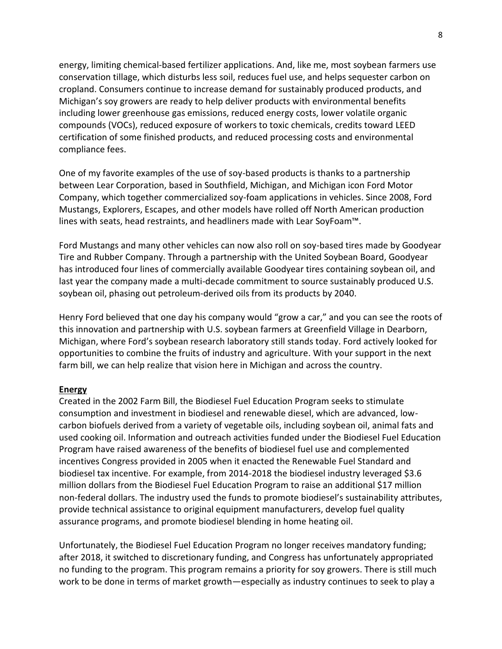energy, limiting chemical-based fertilizer applications. And, like me, most soybean farmers use conservation tillage, which disturbs less soil, reduces fuel use, and helps sequester carbon on cropland. Consumers continue to increase demand for sustainably produced products, and Michigan's soy growers are ready to help deliver products with environmental benefits including lower greenhouse gas emissions, reduced energy costs, lower volatile organic compounds (VOCs), reduced exposure of workers to toxic chemicals, credits toward LEED certification of some finished products, and reduced processing costs and environmental compliance fees.

One of my favorite examples of the use of soy-based products is thanks to a partnership between Lear Corporation, based in Southfield, Michigan, and Michigan icon Ford Motor Company, which together commercialized soy-foam applications in vehicles. Since 2008, Ford Mustangs, Explorers, Escapes, and other models have rolled off North American production lines with seats, head restraints, and headliners made with Lear SoyFoam™.

Ford Mustangs and many other vehicles can now also roll on soy-based tires made by Goodyear Tire and Rubber Company. Through a partnership with the United Soybean Board, Goodyear has introduced four lines of commercially available Goodyear tires containing soybean oil, and last year the company made a multi-decade commitment to source sustainably produced U.S. soybean oil, phasing out petroleum-derived oils from its products by 2040.

Henry Ford believed that one day his company would "grow a car," and you can see the roots of this innovation and partnership with U.S. soybean farmers at Greenfield Village in Dearborn, Michigan, where Ford's soybean research laboratory still stands today. Ford actively looked for opportunities to combine the fruits of industry and agriculture. With your support in the next farm bill, we can help realize that vision here in Michigan and across the country.

## **Energy**

Created in the 2002 Farm Bill, the Biodiesel Fuel Education Program seeks to stimulate consumption and investment in biodiesel and renewable diesel, which are advanced, lowcarbon biofuels derived from a variety of vegetable oils, including soybean oil, animal fats and used cooking oil. Information and outreach activities funded under the Biodiesel Fuel Education Program have raised awareness of the benefits of biodiesel fuel use and complemented incentives Congress provided in 2005 when it enacted the Renewable Fuel Standard and biodiesel tax incentive. For example, from 2014-2018 the biodiesel industry leveraged \$3.6 million dollars from the Biodiesel Fuel Education Program to raise an additional \$17 million non-federal dollars. The industry used the funds to promote biodiesel's sustainability attributes, provide technical assistance to original equipment manufacturers, develop fuel quality assurance programs, and promote biodiesel blending in home heating oil.

Unfortunately, the Biodiesel Fuel Education Program no longer receives mandatory funding; after 2018, it switched to discretionary funding, and Congress has unfortunately appropriated no funding to the program. This program remains a priority for soy growers. There is still much work to be done in terms of market growth—especially as industry continues to seek to play a